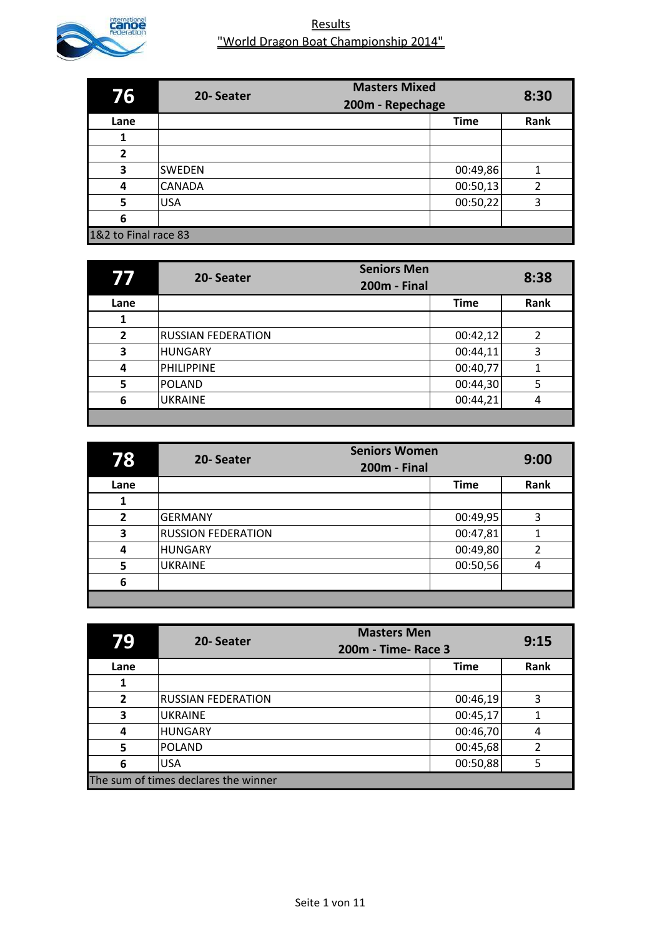

| 76                   | <b>Masters Mixed</b><br>20-Seater<br>200m - Repechage |             | 8:30 |
|----------------------|-------------------------------------------------------|-------------|------|
| Lane                 |                                                       | <b>Time</b> | Rank |
| 1                    |                                                       |             |      |
| 2                    |                                                       |             |      |
| 3                    | <b>SWEDEN</b>                                         | 00:49,86    | 1    |
| 4                    | <b>CANADA</b>                                         | 00:50,13    | 2    |
| 5                    | <b>USA</b>                                            | 00:50,22    | 3    |
| 6                    |                                                       |             |      |
| 1&2 to Final race 83 |                                                       |             |      |

|                | 20-Seater                 | <b>Seniors Men</b><br><b>200m - Final</b> | 8:38 |
|----------------|---------------------------|-------------------------------------------|------|
| Lane           |                           | <b>Time</b>                               | Rank |
|                |                           |                                           |      |
| $\overline{2}$ | <b>RUSSIAN FEDERATION</b> | 00:42,12                                  | 2    |
| 3              | <b>HUNGARY</b>            | 00:44,11                                  | 3    |
| 4              | <b>PHILIPPINE</b>         | 00:40,77                                  |      |
| 5              | <b>POLAND</b>             | 00:44,30                                  | 5    |
| 6              | <b>UKRAINE</b>            | 00:44,21                                  |      |
|                |                           |                                           |      |

| 78             | <b>Seniors Women</b><br>20-Seater<br><b>200m - Final</b> |             | 9:00 |
|----------------|----------------------------------------------------------|-------------|------|
| Lane           |                                                          | <b>Time</b> | Rank |
|                |                                                          |             |      |
| $\overline{2}$ | <b>GERMANY</b>                                           | 00:49,95    | 3    |
| 3              | <b>RUSSION FEDERATION</b>                                | 00:47,81    |      |
| 4              | <b>HUNGARY</b>                                           | 00:49,80    | 2    |
| 5              | <b>UKRAINE</b>                                           | 00:50,56    | 4    |
| 6              |                                                          |             |      |
|                |                                                          |             |      |

| 79             | <b>Masters Men</b><br>20-Seater<br>200m - Time- Race 3 |             | 9:15 |
|----------------|--------------------------------------------------------|-------------|------|
| Lane           |                                                        | <b>Time</b> | Rank |
|                |                                                        |             |      |
| $\overline{2}$ | <b>RUSSIAN FEDERATION</b>                              | 00:46,19    | 3    |
| 3              | <b>UKRAINE</b>                                         | 00:45,17    |      |
| 4              | <b>HUNGARY</b>                                         | 00:46,70    | 4    |
| 5              | <b>POLAND</b>                                          | 00:45,68    | 2    |
| 6              | <b>USA</b>                                             | 00:50,88    | 5    |
|                | The sum of times declares the winner                   |             |      |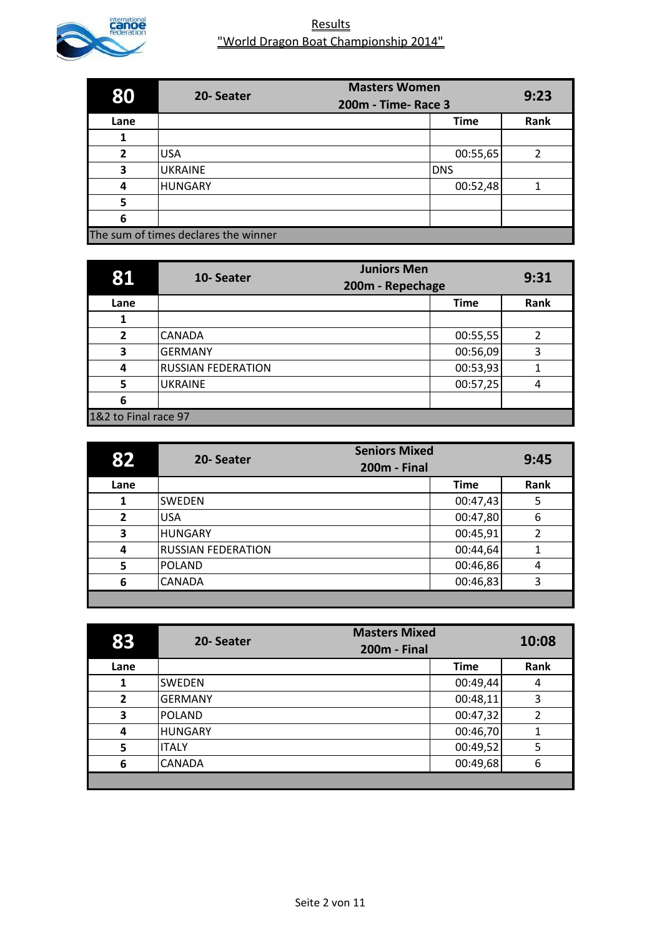

| 80   | <b>Masters Women</b><br>20-Seater<br>200m - Time- Race 3 |             | 9:23 |
|------|----------------------------------------------------------|-------------|------|
| Lane |                                                          | <b>Time</b> | Rank |
|      |                                                          |             |      |
| 2    | <b>USA</b>                                               | 00:55,65    | 2    |
| 3    | <b>UKRAINE</b>                                           | <b>DNS</b>  |      |
| 4    | <b>HUNGARY</b>                                           | 00:52,48    |      |
| 5    |                                                          |             |      |
| 6    |                                                          |             |      |
|      | The sum of times declares the winner                     |             |      |

| 81                   | <b>Juniors Men</b><br>10-Seater<br>200m - Repechage |             | 9:31 |
|----------------------|-----------------------------------------------------|-------------|------|
| Lane                 |                                                     | <b>Time</b> | Rank |
|                      |                                                     |             |      |
| $\overline{2}$       | <b>CANADA</b>                                       | 00:55,55    | 2    |
| 3                    | <b>GERMANY</b>                                      | 00:56,09    | 3    |
| 4                    | <b>RUSSIAN FEDERATION</b>                           | 00:53,93    |      |
| 5                    | <b>UKRAINE</b>                                      | 00:57,25    | 4    |
| 6                    |                                                     |             |      |
| 1&2 to Final race 97 |                                                     |             |      |

| 82             | <b>Seniors Mixed</b><br>20-Seater<br><b>200m - Final</b> |             | 9:45 |
|----------------|----------------------------------------------------------|-------------|------|
| Lane           |                                                          | <b>Time</b> | Rank |
| 1              | <b>SWEDEN</b>                                            | 00:47,43    | 5    |
| $\overline{2}$ | <b>USA</b>                                               | 00:47,80    | 6    |
| 3              | <b>HUNGARY</b>                                           | 00:45,91    | 2    |
| 4              | <b>RUSSIAN FEDERATION</b>                                | 00:44,64    |      |
| 5              | POLAND                                                   | 00:46,86    | 4    |
| 6              | <b>CANADA</b>                                            | 00:46,83    | 3    |
|                |                                                          |             |      |

| 83             | 20-Seater      | <b>Masters Mixed</b><br><b>200m - Final</b> | 10:08          |
|----------------|----------------|---------------------------------------------|----------------|
| Lane           |                | <b>Time</b>                                 | Rank           |
| 1              | <b>SWEDEN</b>  | 00:49,44                                    | 4              |
| $\overline{2}$ | <b>GERMANY</b> | 00:48,11                                    | 3              |
| 3              | POLAND         | 00:47,32                                    | $\overline{2}$ |
| 4              | <b>HUNGARY</b> | 00:46,70                                    |                |
| 5              | <b>ITALY</b>   | 00:49,52                                    | 5              |
| 6              | <b>CANADA</b>  | 00:49,68                                    | 6              |
|                |                |                                             |                |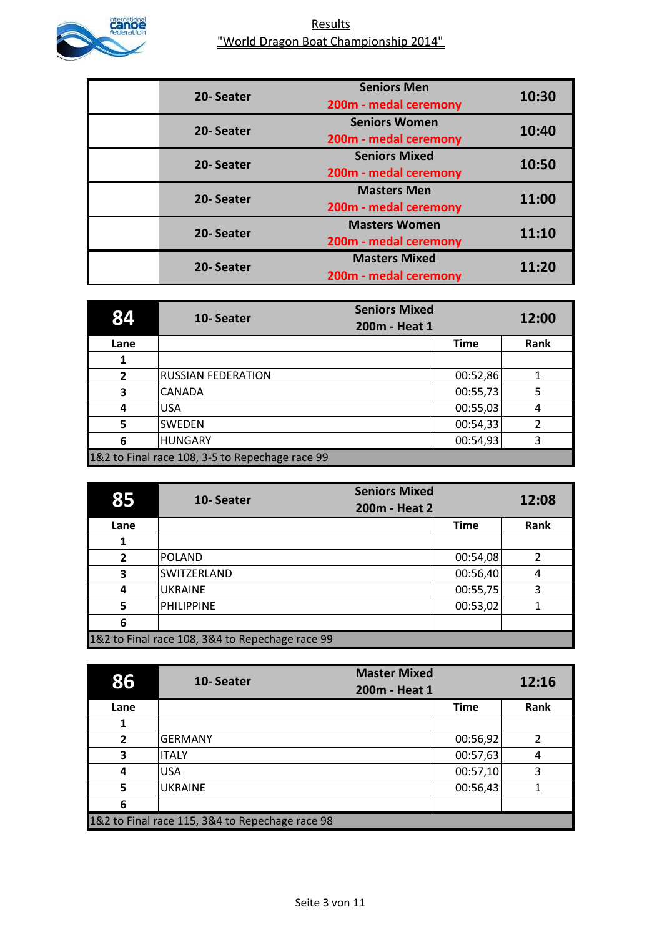

| 20-Seater | <b>Seniors Men</b><br>200m - medal ceremony   | 10:30 |
|-----------|-----------------------------------------------|-------|
| 20-Seater | <b>Seniors Women</b><br>200m - medal ceremony | 10:40 |
| 20-Seater | <b>Seniors Mixed</b><br>200m - medal ceremony | 10:50 |
| 20-Seater | <b>Masters Men</b><br>200m - medal ceremony   | 11:00 |
| 20-Seater | <b>Masters Women</b><br>200m - medal ceremony | 11:10 |
| 20-Seater | <b>Masters Mixed</b><br>200m - medal ceremony | 11:20 |

|                | 10-Seater                                       | <b>Seniors Mixed</b><br>200m - Heat 1 |             | 12:00 |
|----------------|-------------------------------------------------|---------------------------------------|-------------|-------|
| Lane           |                                                 |                                       | <b>Time</b> | Rank  |
| 1              |                                                 |                                       |             |       |
| $\overline{2}$ | <b>RUSSIAN FEDERATION</b>                       |                                       | 00:52,86    |       |
| 3              | <b>CANADA</b>                                   |                                       | 00:55,73    | 5     |
| 4              | <b>USA</b>                                      |                                       | 00:55,03    | 4     |
| 5              | <b>SWEDEN</b>                                   |                                       | 00:54,33    | 2     |
| 6              | <b>HUNGARY</b>                                  |                                       | 00:54,93    | 3     |
|                | 1&2 to Final race 108, 3-5 to Repechage race 99 |                                       |             |       |

| 85             | 10-Seater                                       | <b>Seniors Mixed</b><br>200m - Heat 2 | 12:08 |
|----------------|-------------------------------------------------|---------------------------------------|-------|
| Lane           |                                                 | <b>Time</b>                           | Rank  |
|                |                                                 |                                       |       |
| $\overline{2}$ | POLAND                                          | 00:54,08                              |       |
| 3              | <b>SWITZERLAND</b>                              | 00:56,40                              | 4     |
| 4              | <b>UKRAINE</b>                                  | 00:55,75                              | 3     |
| 5              | PHILIPPINE                                      | 00:53,02                              |       |
| 6              |                                                 |                                       |       |
|                | 1&2 to Final race 108, 3&4 to Repechage race 99 |                                       |       |

| 86             | 10-Seater                                       | <b>Master Mixed</b><br>200m - Heat 1 |             | 12:16 |
|----------------|-------------------------------------------------|--------------------------------------|-------------|-------|
| Lane           |                                                 |                                      | <b>Time</b> | Rank  |
|                |                                                 |                                      |             |       |
| $\overline{2}$ | <b>GERMANY</b>                                  |                                      | 00:56,92    | 2     |
| 3              | <b>ITALY</b>                                    |                                      | 00:57,63    | 4     |
| 4              | <b>USA</b>                                      |                                      | 00:57,10    | 3     |
| 5              | <b>UKRAINE</b>                                  |                                      | 00:56,43    |       |
| 6              |                                                 |                                      |             |       |
|                | 1&2 to Final race 115, 3&4 to Repechage race 98 |                                      |             |       |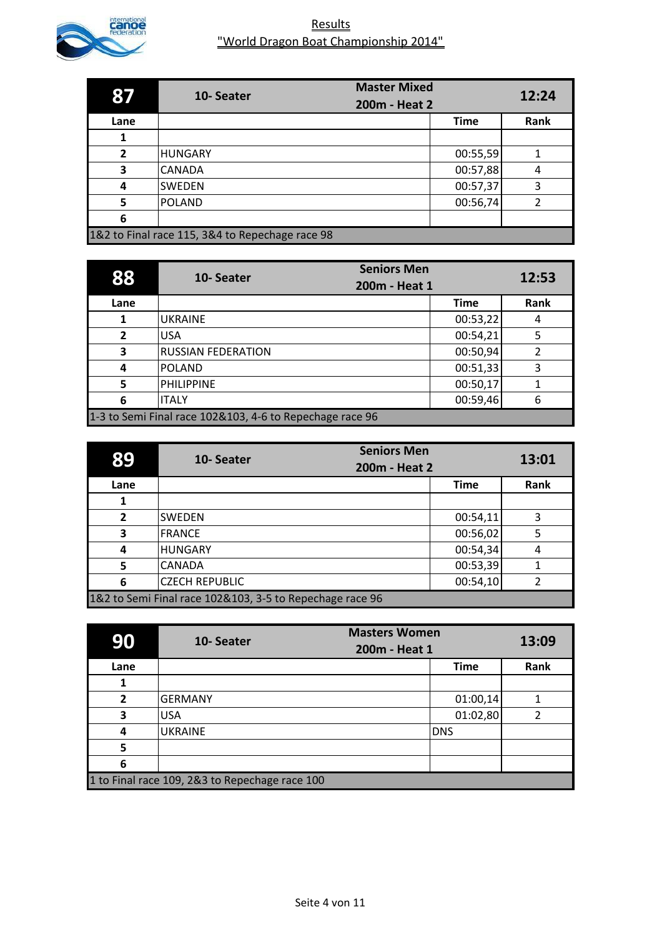

| 87                                              | 10-Seater      | <b>Master Mixed</b> |             | 12:24 |
|-------------------------------------------------|----------------|---------------------|-------------|-------|
|                                                 | 200m - Heat 2  |                     |             |       |
| Lane                                            |                |                     | <b>Time</b> | Rank  |
|                                                 |                |                     |             |       |
| $\mathbf{z}$                                    | <b>HUNGARY</b> |                     | 00:55,59    |       |
| 3                                               | <b>CANADA</b>  |                     | 00:57,88    | 4     |
| 4                                               | <b>SWEDEN</b>  |                     | 00:57,37    | 3     |
| 5                                               | POLAND         |                     | 00:56,74    |       |
| 6                                               |                |                     |             |       |
| 1&2 to Final race 115, 3&4 to Repechage race 98 |                |                     |             |       |

| 88             | <b>Seniors Men</b><br>10-Seater<br>200m - Heat 1         |             | 12:53 |
|----------------|----------------------------------------------------------|-------------|-------|
| Lane           |                                                          | <b>Time</b> | Rank  |
|                | <b>UKRAINE</b>                                           | 00:53,22    | 4     |
| $\overline{2}$ | <b>USA</b>                                               | 00:54,21    | 5     |
| 3              | <b>RUSSIAN FEDERATION</b>                                | 00:50,94    |       |
| 4              | <b>POLAND</b>                                            | 00:51,33    | 3     |
| 5              | <b>PHILIPPINE</b>                                        | 00:50,17    |       |
| 6              | <b>ITALY</b>                                             | 00:59,46    | 6     |
|                | 1-3 to Semi Final race 102&103, 4-6 to Repechage race 96 |             |       |

| 89             | <b>Seniors Men</b><br>10-Seater<br>200m - Heat 2         |             | 13:01 |
|----------------|----------------------------------------------------------|-------------|-------|
| Lane           |                                                          | <b>Time</b> | Rank  |
|                |                                                          |             |       |
| $\overline{2}$ | <b>SWEDEN</b>                                            | 00:54,11    | 3     |
| 3              | <b>FRANCE</b>                                            | 00:56,02    | 5     |
| 4              | <b>HUNGARY</b>                                           | 00:54,34    | 4     |
| 5              | <b>CANADA</b>                                            | 00:53,39    |       |
| 6              | <b>CZECH REPUBLIC</b>                                    | 00:54,10    |       |
|                | 1&2 to Semi Final race 102&103, 3-5 to Repechage race 96 |             |       |

| 90                                             | <b>Masters Women</b><br>10-Seater<br>200m - Heat 1 |             | 13:09 |
|------------------------------------------------|----------------------------------------------------|-------------|-------|
| Lane                                           |                                                    | <b>Time</b> | Rank  |
| 1                                              |                                                    |             |       |
| $\overline{2}$                                 | <b>GERMANY</b>                                     | 01:00,14    |       |
| 3                                              | <b>IUSA</b>                                        | 01:02,80    | 2     |
| 4                                              | <b>UKRAINE</b>                                     | <b>DNS</b>  |       |
| 5                                              |                                                    |             |       |
| 6                                              |                                                    |             |       |
| 1 to Final race 109, 2&3 to Repechage race 100 |                                                    |             |       |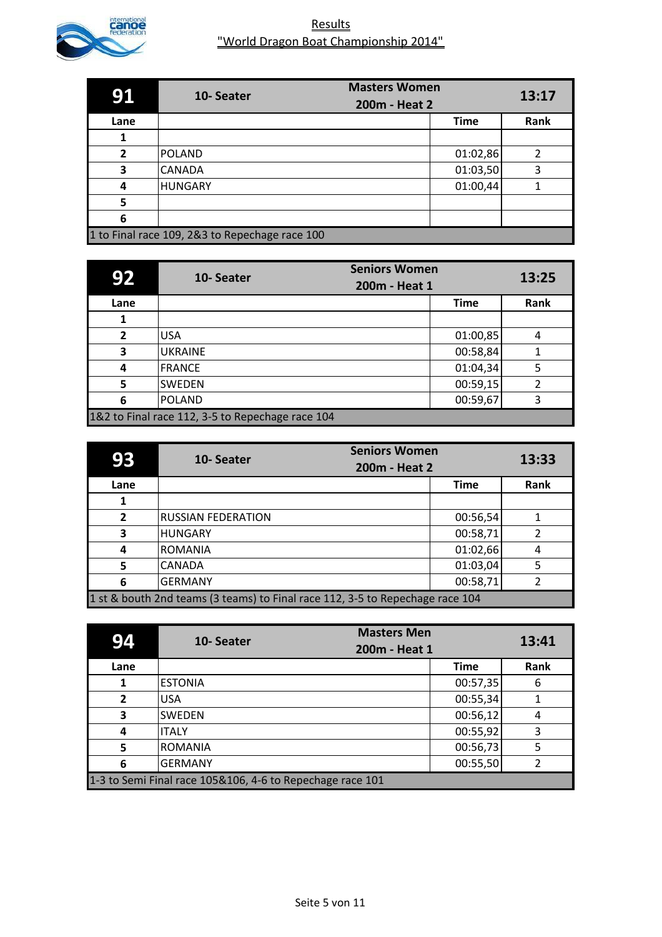

| 91                                             | <b>Masters Women</b><br>10-Seater |                              | 13:17 |
|------------------------------------------------|-----------------------------------|------------------------------|-------|
| Lane                                           |                                   | 200m - Heat 2<br><b>Time</b> | Rank  |
|                                                |                                   |                              |       |
| $\mathbf{z}$                                   | <b>POLAND</b>                     | 01:02,86                     |       |
| 3                                              | <b>CANADA</b>                     | 01:03,50                     | 3     |
| 4                                              | <b>HUNGARY</b>                    | 01:00,44                     |       |
| 5                                              |                                   |                              |       |
| 6                                              |                                   |                              |       |
| 1 to Final race 109, 2&3 to Repechage race 100 |                                   |                              |       |

| 92                                               | 10-Seater      | <b>Seniors Women</b><br>200m - Heat 1 | 13:25 |
|--------------------------------------------------|----------------|---------------------------------------|-------|
| Lane                                             |                | <b>Time</b>                           | Rank  |
|                                                  |                |                                       |       |
| $\overline{2}$                                   | <b>USA</b>     | 01:00,85                              | 4     |
| 3                                                | <b>UKRAINE</b> | 00:58,84                              |       |
| 4                                                | <b>IFRANCE</b> | 01:04,34                              | 5     |
| 5                                                | <b>SWEDEN</b>  | 00:59,15                              | 2     |
| 6                                                | <b>POLAND</b>  | 00:59,67                              | ς     |
| 1&2 to Final race 112, 3-5 to Repechage race 104 |                |                                       |       |

| 93                                                                            | <b>Seniors Women</b><br>10-Seater<br>200m - Heat 2 |             | 13:33 |
|-------------------------------------------------------------------------------|----------------------------------------------------|-------------|-------|
| Lane                                                                          |                                                    | <b>Time</b> | Rank  |
|                                                                               |                                                    |             |       |
| $\overline{2}$                                                                | <b>RUSSIAN FEDERATION</b>                          | 00:56,54    |       |
| 3                                                                             | <b>HUNGARY</b>                                     | 00:58,71    |       |
| 4                                                                             | ROMANIA                                            | 01:02,66    | 4     |
| 5                                                                             | <b>CANADA</b>                                      | 01:03,04    | 5     |
| 6                                                                             | <b>GERMANY</b>                                     | 00:58,71    |       |
| 1 st & bouth 2nd teams (3 teams) to Final race 112, 3-5 to Repechage race 104 |                                                    |             |       |

| 94                                                        | 10-Seater      | <b>Masters Men</b><br>200m - Heat 1 | 13:41 |
|-----------------------------------------------------------|----------------|-------------------------------------|-------|
| Lane                                                      |                | <b>Time</b>                         | Rank  |
|                                                           | <b>ESTONIA</b> | 00:57,35                            | 6     |
| $\overline{2}$                                            | <b>USA</b>     | 00:55,34                            |       |
| 3                                                         | <b>SWEDEN</b>  | 00:56,12                            | 4     |
| 4                                                         | <b>ITALY</b>   | 00:55,92                            | 3     |
| 5                                                         | <b>ROMANIA</b> | 00:56,73                            | 5     |
| 6                                                         | <b>GERMANY</b> | 00:55,50                            |       |
| 1-3 to Semi Final race 105&106, 4-6 to Repechage race 101 |                |                                     |       |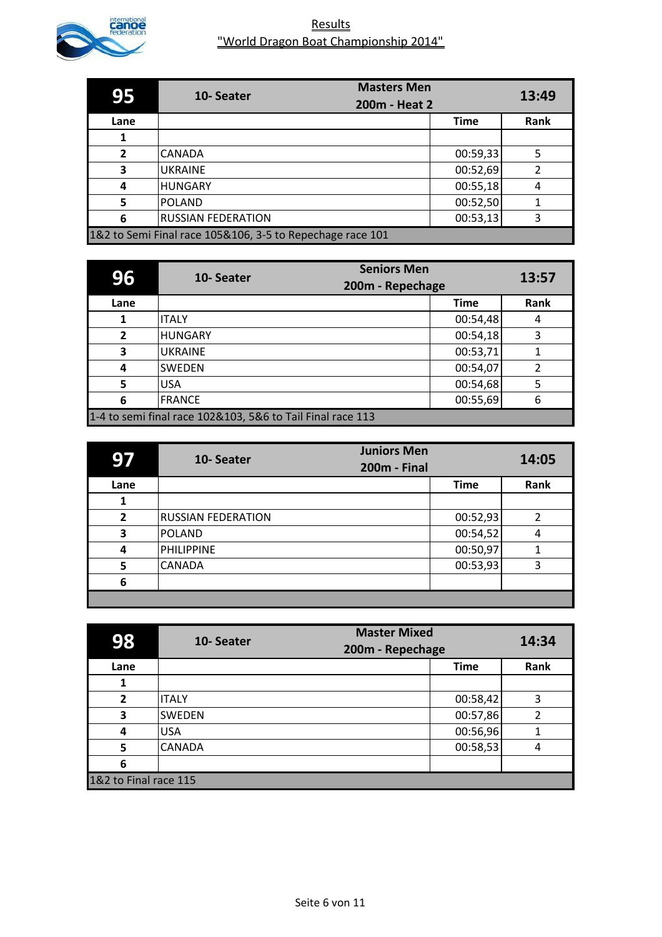

| 95                                                        | <b>Masters Men</b><br>10-Seater |             | 13:49 |
|-----------------------------------------------------------|---------------------------------|-------------|-------|
|                                                           | 200m - Heat 2                   |             |       |
| Lane                                                      |                                 | <b>Time</b> | Rank  |
|                                                           |                                 |             |       |
| $\overline{2}$                                            | <b>CANADA</b>                   | 00:59,33    | 5     |
| 3                                                         | <b>UKRAINE</b>                  | 00:52,69    | 2     |
| 4                                                         | <b>HUNGARY</b>                  | 00:55,18    | 4     |
| 5                                                         | <b>POLAND</b>                   | 00:52,50    | 1     |
| 6                                                         | <b>RUSSIAN FEDERATION</b>       | 00:53,13    | 3     |
| 1&2 to Semi Final race 105&106, 3-5 to Repechage race 101 |                                 |             |       |

| 96             | 10-Seater                                                  | <b>Seniors Men</b><br>200m - Repechage | 13:57 |
|----------------|------------------------------------------------------------|----------------------------------------|-------|
| Lane           |                                                            | <b>Time</b>                            | Rank  |
|                | <b>ITALY</b>                                               | 00:54,48                               | 4     |
| $\overline{2}$ | <b>HUNGARY</b>                                             | 00:54,18                               | 3     |
| 3              | <b>UKRAINE</b>                                             | 00:53,71                               |       |
| 4              | <b>SWEDEN</b>                                              | 00:54,07                               | 2     |
| 5              | <b>USA</b>                                                 | 00:54,68                               |       |
| 6              | <b>FRANCE</b>                                              | 00:55,69                               | 6     |
|                | 1-4 to semi final race 102&103, 5&6 to Tail Final race 113 |                                        |       |

| q              | <b>Juniors Men</b><br>10-Seater<br><b>200m - Final</b> |             | 14:05 |
|----------------|--------------------------------------------------------|-------------|-------|
| Lane           |                                                        | <b>Time</b> | Rank  |
| 1              |                                                        |             |       |
| $\overline{2}$ | <b>RUSSIAN FEDERATION</b>                              | 00:52,93    | 2     |
| 3              | POLAND                                                 | 00:54,52    | 4     |
| 4              | <b>PHILIPPINE</b>                                      | 00:50,97    |       |
| 5              | <b>CANADA</b>                                          | 00:53,93    | 3     |
| 6              |                                                        |             |       |
|                |                                                        |             |       |

| 98                    | 10-Seater     | <b>Master Mixed</b><br>200m - Repechage |      |
|-----------------------|---------------|-----------------------------------------|------|
| Lane                  |               | <b>Time</b>                             | Rank |
|                       |               |                                         |      |
| $\overline{2}$        | <b>ITALY</b>  | 00:58,42                                | 3    |
| 3                     | <b>SWEDEN</b> | 00:57,86                                | 2    |
| 4                     | <b>USA</b>    | 00:56,96                                |      |
| 5                     | <b>CANADA</b> | 00:58,53                                | 4    |
| 6                     |               |                                         |      |
| 1&2 to Final race 115 |               |                                         |      |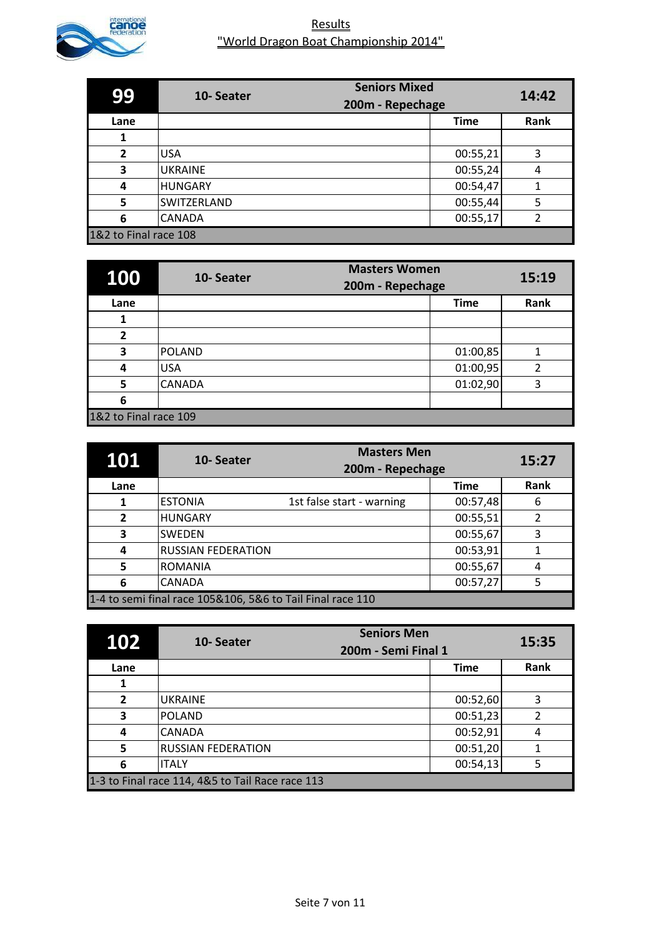

| 99                    | <b>Seniors Mixed</b><br>10-Seater<br>200m - Repechage |             | 14:42 |
|-----------------------|-------------------------------------------------------|-------------|-------|
| Lane                  |                                                       | <b>Time</b> | Rank  |
|                       |                                                       |             |       |
| $\overline{2}$        | <b>USA</b>                                            | 00:55,21    | 3     |
| 3                     | <b>UKRAINE</b>                                        | 00:55,24    | 4     |
| 4                     | <b>HUNGARY</b>                                        | 00:54,47    | 1     |
| 5                     | SWITZERLAND                                           | 00:55,44    | 5     |
| 6                     | <b>CANADA</b>                                         | 00:55,17    | າ     |
| 1&2 to Final race 108 |                                                       |             |       |

| 100                     | 10-Seater     | <b>Masters Women</b><br>200m - Repechage | 15:19 |
|-------------------------|---------------|------------------------------------------|-------|
| Lane                    |               | <b>Time</b>                              | Rank  |
|                         |               |                                          |       |
| $\overline{\mathbf{z}}$ |               |                                          |       |
| 3                       | <b>POLAND</b> | 01:00,85                                 |       |
| 4                       | <b>USA</b>    | 01:00,95                                 | 2     |
| 5                       | <b>CANADA</b> | 01:02,90                                 | 3     |
| 6                       |               |                                          |       |
| 1&2 to Final race 109   |               |                                          |       |

| 101                                                        | 10-Seater                 | <b>Masters Men</b>        |             | 15:27 |
|------------------------------------------------------------|---------------------------|---------------------------|-------------|-------|
|                                                            |                           | 200m - Repechage          |             |       |
| Lane                                                       |                           |                           | <b>Time</b> | Rank  |
| 1                                                          | <b>ESTONIA</b>            | 1st false start - warning | 00:57,48    | 6     |
| $\overline{2}$                                             | <b>HUNGARY</b>            |                           | 00:55,51    | 2     |
| 3                                                          | <b>SWEDEN</b>             |                           | 00:55,67    | 3     |
| 4                                                          | <b>RUSSIAN FEDERATION</b> |                           | 00:53,91    |       |
| 5                                                          | <b>ROMANIA</b>            |                           | 00:55,67    | 4     |
| 6                                                          | <b>CANADA</b>             |                           | 00:57,27    | 5     |
| 1-4 to semi final race 105&106, 5&6 to Tail Final race 110 |                           |                           |             |       |

| 102                                              | <b>Seniors Men</b><br>10-Seater<br>200m - Semi Final 1 |             | 15:35 |
|--------------------------------------------------|--------------------------------------------------------|-------------|-------|
| Lane                                             |                                                        | <b>Time</b> | Rank  |
|                                                  |                                                        |             |       |
| $\overline{2}$                                   | <b>UKRAINE</b>                                         | 00:52,60    | 3     |
| 3                                                | <b>POLAND</b>                                          | 00:51,23    | 2     |
| 4                                                | <b>CANADA</b>                                          | 00:52,91    | 4     |
| 5                                                | <b>RUSSIAN FEDERATION</b>                              | 00:51,20    |       |
| 6                                                | <b>ITALY</b>                                           | 00:54,13    | 5     |
| 1-3 to Final race 114, 4&5 to Tail Race race 113 |                                                        |             |       |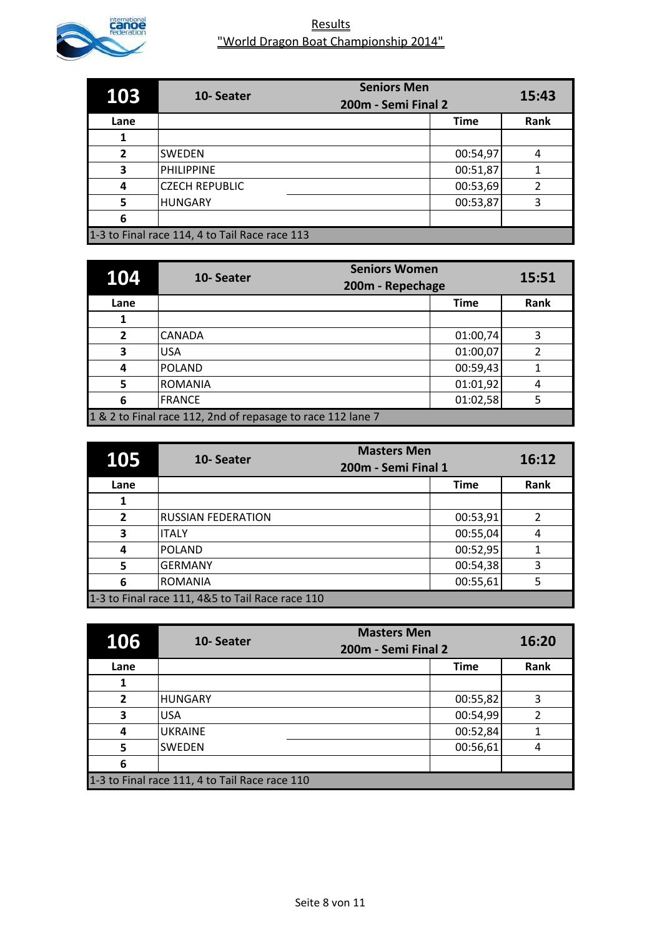

| 103                                            | <b>Seniors Men</b><br>10-Seater<br>200m - Semi Final 2 |             | 15:43 |
|------------------------------------------------|--------------------------------------------------------|-------------|-------|
| Lane                                           |                                                        | <b>Time</b> | Rank  |
|                                                |                                                        |             |       |
| $\overline{2}$                                 | <b>SWEDEN</b>                                          | 00:54,97    | 4     |
| 3                                              | <b>PHILIPPINE</b>                                      | 00:51,87    | 1     |
| 4                                              | <b>CZECH REPUBLIC</b>                                  | 00:53,69    | 2     |
| 5                                              | <b>HUNGARY</b>                                         | 00:53,87    | 3     |
| 6                                              |                                                        |             |       |
| 1-3 to Final race 114, 4 to Tail Race race 113 |                                                        |             |       |

| 104                                                         | 10-Seater      | <b>Seniors Women</b><br>200m - Repechage | 15:51 |
|-------------------------------------------------------------|----------------|------------------------------------------|-------|
| Lane                                                        |                | <b>Time</b>                              | Rank  |
|                                                             |                |                                          |       |
| $\overline{2}$                                              | <b>CANADA</b>  | 01:00,74                                 | 3     |
| 3                                                           | <b>USA</b>     | 01:00,07                                 |       |
| 4                                                           | POLAND         | 00:59,43                                 |       |
| 5                                                           | <b>ROMANIA</b> | 01:01,92                                 | 4     |
| 6                                                           | <b>FRANCE</b>  | 01:02,58                                 |       |
| 1 & 2 to Final race 112, 2nd of repasage to race 112 lane 7 |                |                                          |       |

| 105                                              | <b>Masters Men</b><br>10-Seater<br>200m - Semi Final 1 |             | 16:12 |
|--------------------------------------------------|--------------------------------------------------------|-------------|-------|
| Lane                                             |                                                        | <b>Time</b> | Rank  |
| 1                                                |                                                        |             |       |
| $\overline{2}$                                   | <b>RUSSIAN FEDERATION</b>                              | 00:53,91    | 2     |
| 3                                                | IITALY                                                 | 00:55,04    | 4     |
| 4                                                | POLAND                                                 | 00:52,95    |       |
| 5                                                | <b>GERMANY</b>                                         | 00:54,38    | 3     |
| 6                                                | <b>ROMANIA</b>                                         | 00:55,61    |       |
| 1-3 to Final race 111, 4&5 to Tail Race race 110 |                                                        |             |       |

| 106                                            | <b>Masters Men</b><br>10-Seater<br>200m - Semi Final 2 |             | 16:20 |
|------------------------------------------------|--------------------------------------------------------|-------------|-------|
| Lane                                           |                                                        | <b>Time</b> | Rank  |
|                                                |                                                        |             |       |
| $\overline{2}$                                 | <b>HUNGARY</b>                                         | 00:55,82    | 3     |
| 3                                              | <b>USA</b>                                             | 00:54,99    | 2     |
| 4                                              | <b>UKRAINE</b>                                         | 00:52,84    |       |
| 5                                              | <b>SWEDEN</b>                                          | 00:56,61    | 4     |
| 6                                              |                                                        |             |       |
| 1-3 to Final race 111, 4 to Tail Race race 110 |                                                        |             |       |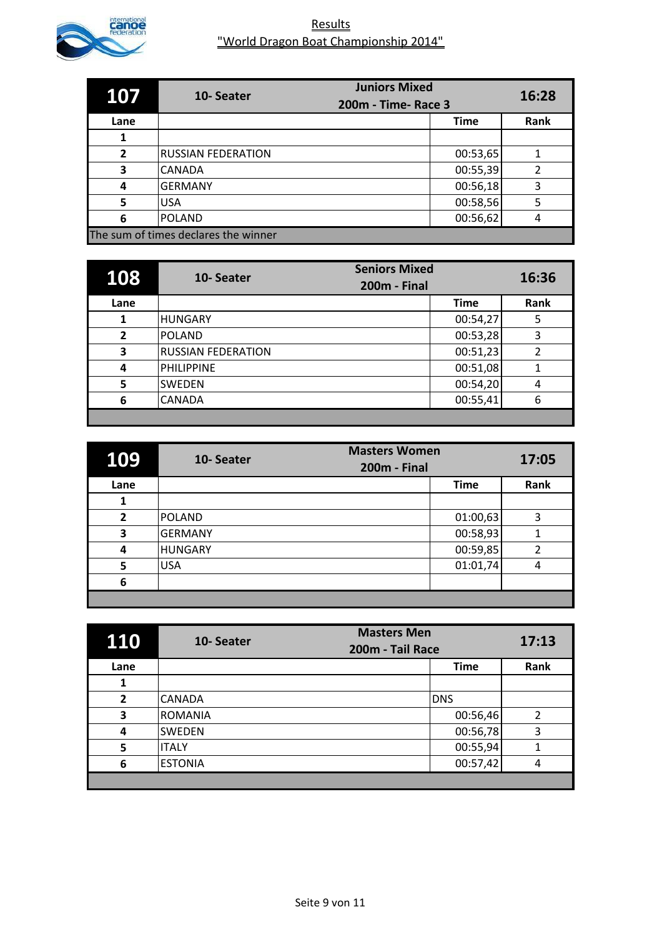

| 107                                  | <b>Juniors Mixed</b><br>10-Seater<br>200m - Time- Race 3 |             | 16:28 |
|--------------------------------------|----------------------------------------------------------|-------------|-------|
| Lane                                 |                                                          | <b>Time</b> | Rank  |
| 1                                    |                                                          |             |       |
| $\overline{2}$                       | <b>RUSSIAN FEDERATION</b>                                | 00:53,65    |       |
| 3                                    | <b>CANADA</b>                                            | 00:55,39    | 2     |
| 4                                    | <b>GERMANY</b>                                           | 00:56,18    | 3     |
| 5                                    | <b>USA</b>                                               | 00:58,56    | 5     |
| 6                                    | POLAND                                                   | 00:56,62    | 4     |
| The sum of times declares the winner |                                                          |             |       |

| 108  | <b>Seniors Mixed</b><br>10-Seater<br><b>200m - Final</b> |             | 16:36 |
|------|----------------------------------------------------------|-------------|-------|
| Lane |                                                          | <b>Time</b> | Rank  |
|      | HUNGARY                                                  | 00:54,27    | 5     |
| 2    | <b>POLAND</b>                                            | 00:53,28    | 3     |
| 3    | <b>RUSSIAN FEDERATION</b>                                | 00:51,23    | 2     |
| 4    | <b>PHILIPPINE</b>                                        | 00:51,08    |       |
| 5    | <b>SWEDEN</b>                                            | 00:54,20    | 4     |
| 6    | <b>CANADA</b>                                            | 00:55,41    | 6     |
|      |                                                          |             |       |

| 109  | <b>Masters Women</b><br>10-Seater<br><b>200m - Final</b> |             | 17:05 |
|------|----------------------------------------------------------|-------------|-------|
| Lane |                                                          | <b>Time</b> | Rank  |
| 1    |                                                          |             |       |
| 2    | <b>POLAND</b>                                            | 01:00,63    | 3     |
| 3    | <b>GERMANY</b>                                           | 00:58,93    |       |
| 4    | <b>HUNGARY</b>                                           | 00:59,85    | 2     |
| 5    | <b>USA</b>                                               | 01:01,74    | 4     |
| 6    |                                                          |             |       |
|      |                                                          |             |       |

| <b>110</b>     | 10-Seater      | <b>Masters Men</b><br>200m - Tail Race | 17:13          |
|----------------|----------------|----------------------------------------|----------------|
| Lane           |                | <b>Time</b>                            | Rank           |
| 1              |                |                                        |                |
| $\overline{2}$ | <b>CANADA</b>  | <b>DNS</b>                             |                |
| 3              | <b>ROMANIA</b> | 00:56,46                               | $\overline{2}$ |
| 4              | <b>SWEDEN</b>  | 00:56,78                               | 3              |
| 5              | <b>ITALY</b>   | 00:55,94                               | 1              |
| 6              | <b>ESTONIA</b> | 00:57,42                               | 4              |
|                |                |                                        |                |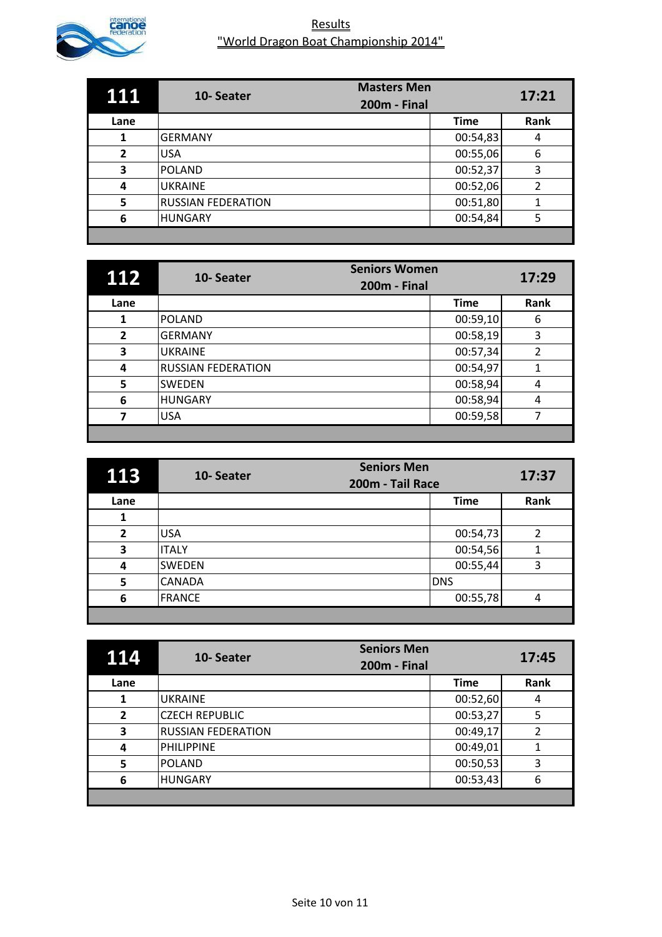

| 111          | 10-Seater                 | <b>Masters Men</b>  |             | 17:21 |
|--------------|---------------------------|---------------------|-------------|-------|
|              |                           | <b>200m - Final</b> |             |       |
| Lane         |                           |                     | <b>Time</b> | Rank  |
|              | <b>GERMANY</b>            |                     | 00:54,83    | 4     |
| $\mathbf{2}$ | <b>USA</b>                |                     | 00:55,06    | 6     |
| 3            | <b>POLAND</b>             |                     | 00:52,37    | 3     |
| 4            | <b>UKRAINE</b>            |                     | 00:52,06    | 2     |
| 5            | <b>RUSSIAN FEDERATION</b> |                     | 00:51,80    |       |
| 6            | <b>HUNGARY</b>            |                     | 00:54,84    | 5     |
|              |                           |                     |             |       |

| 112            | <b>Seniors Women</b><br>10-Seater<br><b>200m - Final</b> |             | 17:29 |
|----------------|----------------------------------------------------------|-------------|-------|
| Lane           |                                                          | <b>Time</b> | Rank  |
|                | <b>POLAND</b>                                            | 00:59,10    | 6     |
| $\overline{2}$ | <b>GERMANY</b>                                           | 00:58,19    | 3     |
| 3              | <b>UKRAINE</b>                                           | 00:57,34    | 2     |
| 4              | <b>RUSSIAN FEDERATION</b>                                | 00:54,97    |       |
| 5              | <b>SWEDEN</b>                                            | 00:58,94    | 4     |
| 6              | <b>HUNGARY</b>                                           | 00:58,94    | 4     |
|                | <b>USA</b>                                               | 00:59,58    |       |
|                |                                                          |             |       |

| 113            | <b>Seniors Men</b><br>10-Seater<br>200m - Tail Race |             | 17:37 |
|----------------|-----------------------------------------------------|-------------|-------|
| Lane           |                                                     | <b>Time</b> | Rank  |
| 1              |                                                     |             |       |
| $\overline{2}$ | <b>USA</b>                                          | 00:54,73    | 2     |
| 3              | <b>ITALY</b>                                        | 00:54,56    |       |
| 4              | <b>SWEDEN</b>                                       | 00:55,44    | 3     |
| 5              | <b>CANADA</b>                                       | <b>DNS</b>  |       |
| 6              | <b>FRANCE</b>                                       | 00:55,78    | 4     |
|                |                                                     |             |       |

| 114            | <b>Seniors Men</b><br>10-Seater<br><b>200m - Final</b> |             | 17:45 |
|----------------|--------------------------------------------------------|-------------|-------|
| Lane           |                                                        | <b>Time</b> | Rank  |
| 1              | <b>UKRAINE</b>                                         | 00:52,60    | 4     |
| $\overline{2}$ | <b>CZECH REPUBLIC</b>                                  | 00:53,27    | 5     |
| 3              | <b>RUSSIAN FEDERATION</b>                              | 00:49,17    | 2     |
| 4              | <b>PHILIPPINE</b>                                      | 00:49,01    |       |
| 5              | <b>POLAND</b>                                          | 00:50,53    | 3     |
| 6              | <b>HUNGARY</b>                                         | 00:53,43    | 6     |
|                |                                                        |             |       |